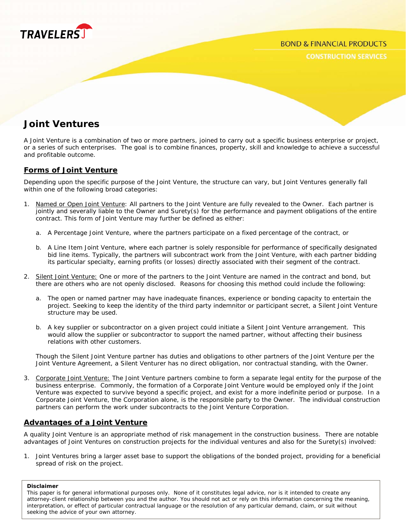

**CONSTRUCTION SERVICES** 

# **Joint Ventures**

A Joint Venture is a combination of two or more partners, joined to carry out a specific business enterprise or project, or a series of such enterprises. The goal is to combine finances, property, skill and knowledge to achieve a successful and profitable outcome.

# **Forms of Joint Venture**

Depending upon the specific purpose of the Joint Venture, the structure can vary, but Joint Ventures generally fall within one of the following broad categories:

- 1. Named or Open Joint Venture: All partners to the Joint Venture are fully revealed to the Owner. Each partner is jointly and severally liable to the Owner and Surety(s) for the performance and payment obligations of the entire contract. This form of Joint Venture may further be defined as either:
	- a. A Percentage Joint Venture, where the partners participate on a fixed percentage of the contract, or
	- b. A Line Item Joint Venture, where each partner is solely responsible for performance of specifically designated bid line items. Typically, the partners will subcontract work from the Joint Venture, with each partner bidding its particular specialty, earning profits (or losses) directly associated with their segment of the contract.
- 2. Silent Joint Venture: One or more of the partners to the Joint Venture are named in the contract and bond, but there are others who are not openly disclosed. Reasons for choosing this method could include the following:
	- a. The open or named partner may have inadequate finances, experience or bonding capacity to entertain the project. Seeking to keep the identity of the third party indemnitor or participant secret, a Silent Joint Venture structure may be used.
	- b. A key supplier or subcontractor on a given project could initiate a Silent Joint Venture arrangement. This would allow the supplier or subcontractor to support the named partner, without affecting their business relations with other customers.

Though the Silent Joint Venture partner has duties and obligations to other partners of the Joint Venture per the Joint Venture Agreement, a Silent Venturer has no direct obligation, nor contractual standing, with the Owner.

3. Corporate Joint Venture: The Joint Venture partners combine to form a separate legal entity for the purpose of the business enterprise. Commonly, the formation of a Corporate Joint Venture would be employed only if the Joint Venture was expected to survive beyond a specific project, and exist for a more indefinite period or purpose. In a Corporate Joint Venture, the Corporation alone, is the responsible party to the Owner. The individual construction partners can perform the work under subcontracts to the Joint Venture Corporation.

# **Advantages of a Joint Venture**

A quality Joint Venture is an appropriate method of risk management in the construction business. There are notable advantages of Joint Ventures on construction projects for the individual ventures and also for the Surety(s) involved:

1. Joint Ventures bring a larger asset base to support the obligations of the bonded project, providing for a beneficial spread of risk on the project.

#### **Disclaimer**

This paper is for general informational purposes only. None of it constitutes legal advice, nor is it intended to create any attorney-client relationship between you and the author. You should not act or rely on this information concerning the meaning, interpretation, or effect of particular contractual language or the resolution of any particular demand, claim, or suit without seeking the advice of your own attorney.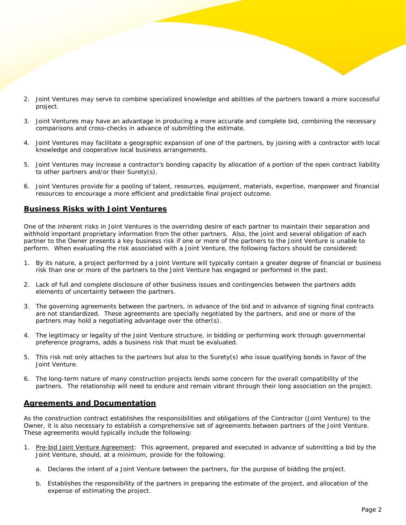- 2. Joint Ventures may serve to combine specialized knowledge and abilities of the partners toward a more successful project.
- 3. Joint Ventures may have an advantage in producing a more accurate and complete bid, combining the necessary comparisons and cross-checks in advance of submitting the estimate.
- 4. Joint Ventures may facilitate a geographic expansion of one of the partners, by joining with a contractor with local knowledge and cooperative local business arrangements.
- 5. Joint Ventures may increase a contractor's bonding capacity by allocation of a portion of the open contract liability to other partners and/or their Surety(s).
- 6. Joint Ventures provide for a pooling of talent, resources, equipment, materials, expertise, manpower and financial resources to encourage a more efficient and predictable final project outcome.

# **Business Risks with Joint Ventures**

One of the inherent risks in Joint Ventures is the overriding desire of each partner to maintain their separation and withhold important proprietary information from the other partners. Also, the joint and several obligation of each partner to the Owner presents a key business risk if one or more of the partners to the Joint Venture is unable to perform. When evaluating the risk associated with a Joint Venture, the following factors should be considered:

- 1. By its nature, a project performed by a Joint Venture will typically contain a greater degree of financial or business risk than one or more of the partners to the Joint Venture has engaged or performed in the past.
- 2. Lack of full and complete disclosure of other business issues and contingencies between the partners adds elements of uncertainty between the partners.
- 3. The governing agreements between the partners, in advance of the bid and in advance of signing final contracts are not standardized. These agreements are specially negotiated by the partners, and one or more of the partners may hold a negotiating advantage over the other(s).
- 4. The legitimacy or legality of the Joint Venture structure, in bidding or performing work through governmental preference programs, adds a business risk that must be evaluated.
- 5. This risk not only attaches to the partners but also to the Surety(s) who issue qualifying bonds in favor of the Joint Venture.
- 6. The long-term nature of many construction projects lends some concern for the overall compatibility of the partners. The relationship will need to endure and remain vibrant through their long association on the project.

# **Agreements and Documentation**

As the construction contract establishes the responsibilities and obligations of the Contractor (Joint Venture) to the Owner, it is also necessary to establish a comprehensive set of agreements between partners of the Joint Venture. These agreements would typically include the following:

- 1. Pre-bid Joint Venture Agreement: This agreement, prepared and executed in advance of submitting a bid by the Joint Venture, should, at a minimum, provide for the following:
	- a. Declares the intent of a Joint Venture between the partners, for the purpose of bidding the project.
	- b. Establishes the responsibility of the partners in preparing the estimate of the project, and allocation of the expense of estimating the project.